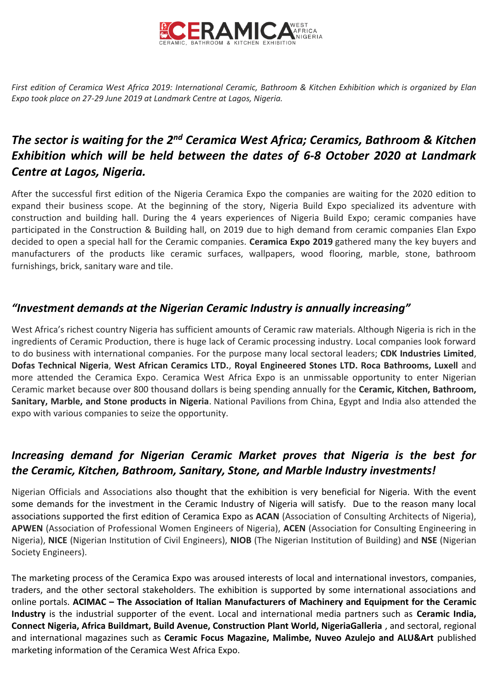

*First edition of Ceramica West Africa 2019: International Ceramic, Bathroom & Kitchen Exhibition which is organized by Elan Expo took place on 27-29 June 2019 at Landmark Centre at Lagos, Nigeria.*

# *The sector is waiting for the 2nd Ceramica West Africa; Ceramics, Bathroom & Kitchen Exhibition which will be held between the dates of 6-8 October 2020 at Landmark Centre at Lagos, Nigeria.*

After the successful first edition of the Nigeria Ceramica Expo the companies are waiting for the 2020 edition to expand their business scope. At the beginning of the story, Nigeria Build Expo specialized its adventure with construction and building hall. During the 4 years experiences of Nigeria Build Expo; ceramic companies have participated in the Construction & Building hall, on 2019 due to high demand from ceramic companies Elan Expo decided to open a special hall for the Ceramic companies. **Ceramica Expo 2019** gathered many the key buyers and manufacturers of the products like ceramic surfaces, wallpapers, wood flooring, marble, stone, bathroom furnishings, brick, sanitary ware and tile.

## *"Investment demands at the Nigerian Ceramic Industry is annually increasing"*

West Africa's richest country Nigeria has sufficient amounts of Ceramic raw materials. Although Nigeria is rich in the ingredients of Ceramic Production, there is huge lack of Ceramic processing industry. Local companies look forward to do business with international companies. For the purpose many local sectoral leaders; **CDK Industries Limited**, **Dofas Technical Nigeria**, **West African Ceramics LTD.**, **Royal Engineered Stones LTD. Roca Bathrooms, Luxell** and more attended the Ceramica Expo. Ceramica West Africa Expo is an unmissable opportunity to enter Nigerian Ceramic market because over 800 thousand dollars is being spending annually for the **Ceramic, Kitchen, Bathroom, Sanitary, Marble, and Stone products in Nigeria**. National Pavilions from China, Egypt and India also attended the expo with various companies to seize the opportunity.

## *Increasing demand for Nigerian Ceramic Market proves that Nigeria is the best for the Ceramic, Kitchen, Bathroom, Sanitary, Stone, and Marble Industry investments!*

Nigerian Officials and Associations also thought that the exhibition is very beneficial for Nigeria. With the event some demands for the investment in the Ceramic Industry of Nigeria will satisfy. Due to the reason many local associations supported the first edition of Ceramica Expo as **ACAN** (Association of Consulting Architects of Nigeria), **APWEN** (Association of Professional Women Engineers of Nigeria), **ACEN** (Association for Consulting Engineering in Nigeria), **NICE** (Nigerian Institution of Civil Engineers), **NIOB** (The Nigerian Institution of Building) and **NSE** (Nigerian Society Engineers).

The marketing process of the Ceramica Expo was aroused interests of local and international investors, companies, traders, and the other sectoral stakeholders. The exhibition is supported by some international associations and online portals. **ACIMAC – The Association of Italian Manufacturers of Machinery and Equipment for the Ceramic Industry** is the industrial supporter of the event. Local and international media partners such as **Ceramic India, Connect Nigeria, Africa Buildmart, Build Avenue, Construction Plant World, NigeriaGalleria** , and sectoral, regional and international magazines such as **Ceramic Focus Magazine, Malimbe, Nuveo Azulejo and ALU&Art** published marketing information of the Ceramica West Africa Expo.